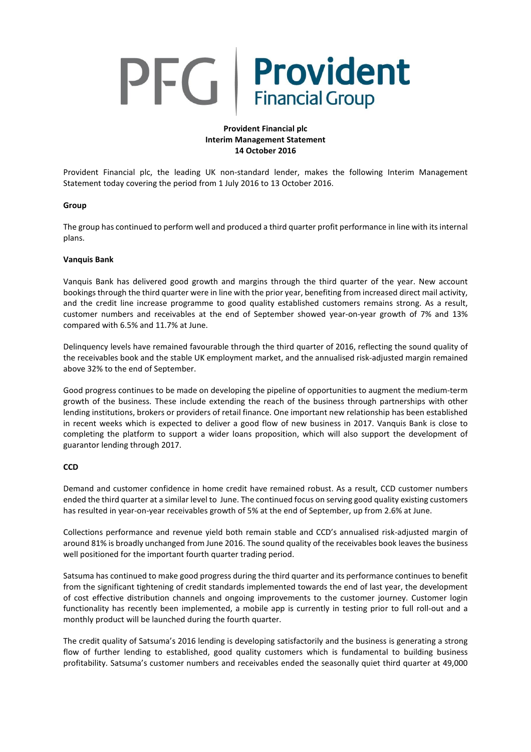# Provident PFG **Financial Group**

# **Provident Financial plc Interim Management Statement 14 October 2016**

Provident Financial plc, the leading UK non-standard lender, makes the following Interim Management Statement today covering the period from 1 July 2016 to 13 October 2016.

# **Group**

The group has continued to perform well and produced a third quarter profit performance in line with itsinternal plans.

# **Vanquis Bank**

Vanquis Bank has delivered good growth and margins through the third quarter of the year. New account bookings through the third quarter were in line with the prior year, benefiting from increased direct mail activity, and the credit line increase programme to good quality established customers remains strong. As a result, customer numbers and receivables at the end of September showed year-on-year growth of 7% and 13% compared with 6.5% and 11.7% at June.

Delinquency levels have remained favourable through the third quarter of 2016, reflecting the sound quality of the receivables book and the stable UK employment market, and the annualised risk-adjusted margin remained above 32% to the end of September.

Good progress continues to be made on developing the pipeline of opportunities to augment the medium-term growth of the business. These include extending the reach of the business through partnerships with other lending institutions, brokers or providers of retail finance. One important new relationship has been established in recent weeks which is expected to deliver a good flow of new business in 2017. Vanquis Bank is close to completing the platform to support a wider loans proposition, which will also support the development of guarantor lending through 2017.

#### **CCD**

Demand and customer confidence in home credit have remained robust. As a result, CCD customer numbers ended the third quarter at a similar level to June. The continued focus on serving good quality existing customers has resulted in year-on-year receivables growth of 5% at the end of September, up from 2.6% at June.

Collections performance and revenue yield both remain stable and CCD's annualised risk-adjusted margin of around 81% is broadly unchanged from June 2016. The sound quality of the receivables book leaves the business well positioned for the important fourth quarter trading period.

Satsuma has continued to make good progress during the third quarter and its performance continues to benefit from the significant tightening of credit standards implemented towards the end of last year, the development of cost effective distribution channels and ongoing improvements to the customer journey. Customer login functionality has recently been implemented, a mobile app is currently in testing prior to full roll-out and a monthly product will be launched during the fourth quarter.

The credit quality of Satsuma's 2016 lending is developing satisfactorily and the business is generating a strong flow of further lending to established, good quality customers which is fundamental to building business profitability. Satsuma's customer numbers and receivables ended the seasonally quiet third quarter at 49,000